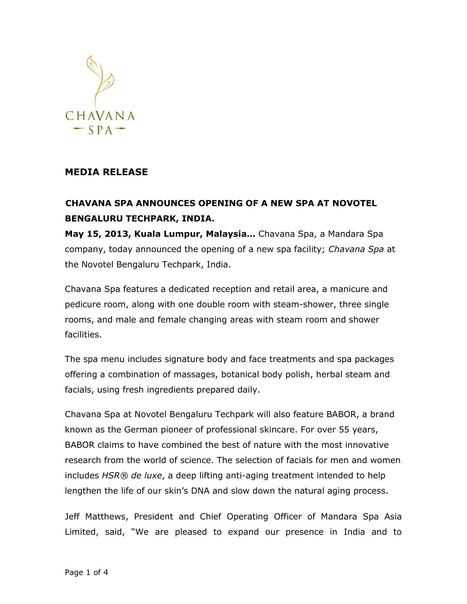

## **MEDIA RELEASE**

## **CHAVANA SPA ANNOUNCES OPENING OF A NEW SPA AT NOVOTEL BENGALURU TECHPARK, INDIA.**

**May 15, 2013, Kuala Lumpur, Malaysia…** Chavana Spa, a Mandara Spa company, today announced the opening of a new spa facility; *Chavana Spa* at the Novotel Bengaluru Techpark, India.

Chavana Spa features a dedicated reception and retail area, a manicure and pedicure room, along with one double room with steam-shower, three single rooms, and male and female changing areas with steam room and shower facilities.

The spa menu includes signature body and face treatments and spa packages offering a combination of massages, botanical body polish, herbal steam and facials, using fresh ingredients prepared daily.

Chavana Spa at Novotel Bengaluru Techpark will also feature BABOR, a brand known as the German pioneer of professional skincare. For over 55 years, BABOR claims to have combined the best of nature with the most innovative research from the world of science. The selection of facials for men and women includes *HSR® de luxe*, a deep lifting anti-aging treatment intended to help lengthen the life of our skin's DNA and slow down the natural aging process.

Jeff Matthews, President and Chief Operating Officer of Mandara Spa Asia Limited, said, "We are pleased to expand our presence in India and to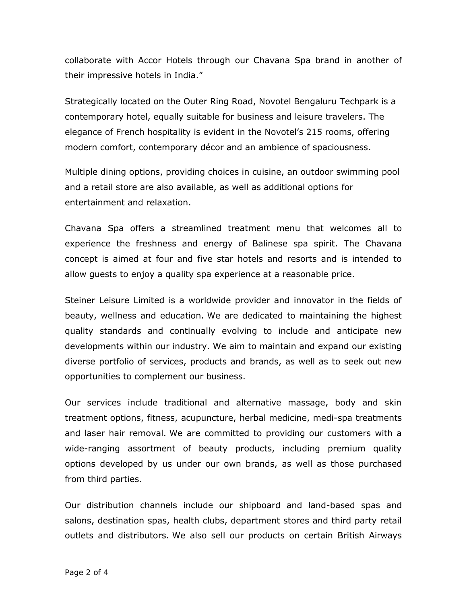collaborate with Accor Hotels through our Chavana Spa brand in another of their impressive hotels in India."

Strategically located on the Outer Ring Road, Novotel Bengaluru Techpark is a contemporary hotel, equally suitable for business and leisure travelers. The elegance of French hospitality is evident in the Novotel's 215 rooms, offering modern comfort, contemporary décor and an ambience of spaciousness.

Multiple dining options, providing choices in cuisine, an outdoor swimming pool and a retail store are also available, as well as additional options for entertainment and relaxation.

Chavana Spa offers a streamlined treatment menu that welcomes all to experience the freshness and energy of Balinese spa spirit. The Chavana concept is aimed at four and five star hotels and resorts and is intended to allow guests to enjoy a quality spa experience at a reasonable price.

Steiner Leisure Limited is a worldwide provider and innovator in the fields of beauty, wellness and education. We are dedicated to maintaining the highest quality standards and continually evolving to include and anticipate new developments within our industry. We aim to maintain and expand our existing diverse portfolio of services, products and brands, as well as to seek out new opportunities to complement our business.

Our services include traditional and alternative massage, body and skin treatment options, fitness, acupuncture, herbal medicine, medi-spa treatments and laser hair removal. We are committed to providing our customers with a wide-ranging assortment of beauty products, including premium quality options developed by us under our own brands, as well as those purchased from third parties.

Our distribution channels include our shipboard and land-based spas and salons, destination spas, health clubs, department stores and third party retail outlets and distributors. We also sell our products on certain British Airways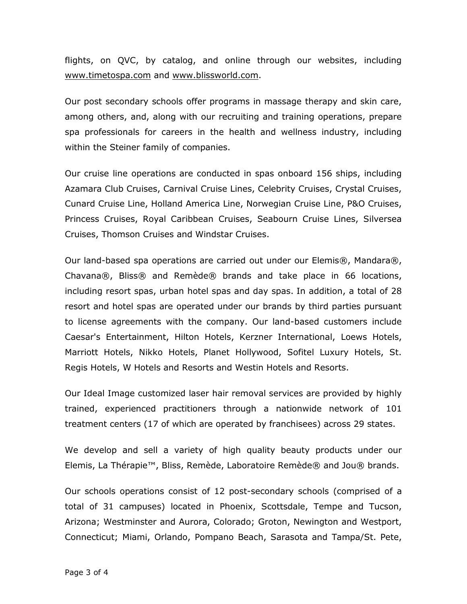flights, on QVC, by catalog, and online through our websites, including [www.timetospa.com](http://www.timetospa.com/) and [www.blissworld.com.](http://www.blissworld.com/)

Our post secondary schools offer programs in massage therapy and skin care, among others, and, along with our recruiting and training operations, prepare spa professionals for careers in the health and wellness industry, including within the Steiner family of companies.

Our cruise line operations are conducted in spas onboard 156 ships, including Azamara Club Cruises, Carnival Cruise Lines, Celebrity Cruises, Crystal Cruises, Cunard Cruise Line, Holland America Line, Norwegian Cruise Line, P&O Cruises, Princess Cruises, Royal Caribbean Cruises, Seabourn Cruise Lines, Silversea Cruises, Thomson Cruises and Windstar Cruises.

Our land-based spa operations are carried out under our Elemis®, Mandara®, Chavana®, Bliss® and Remède® brands and take place in 66 locations, including resort spas, urban hotel spas and day spas. In addition, a total of 28 resort and hotel spas are operated under our brands by third parties pursuant to license agreements with the company. Our land-based customers include Caesar's Entertainment, Hilton Hotels, Kerzner International, Loews Hotels, Marriott Hotels, Nikko Hotels, Planet Hollywood, Sofitel Luxury Hotels, St. Regis Hotels, W Hotels and Resorts and Westin Hotels and Resorts.

Our Ideal Image customized laser hair removal services are provided by highly trained, experienced practitioners through a nationwide network of 101 treatment centers (17 of which are operated by franchisees) across 29 states.

We develop and sell a variety of high quality beauty products under our Elemis, La Thérapie™, Bliss, Remède, Laboratoire Remède® and Jou® brands.

Our schools operations consist of 12 post-secondary schools (comprised of a total of 31 campuses) located in Phoenix, Scottsdale, Tempe and Tucson, Arizona; Westminster and Aurora, Colorado; Groton, Newington and Westport, Connecticut; Miami, Orlando, Pompano Beach, Sarasota and Tampa/St. Pete,